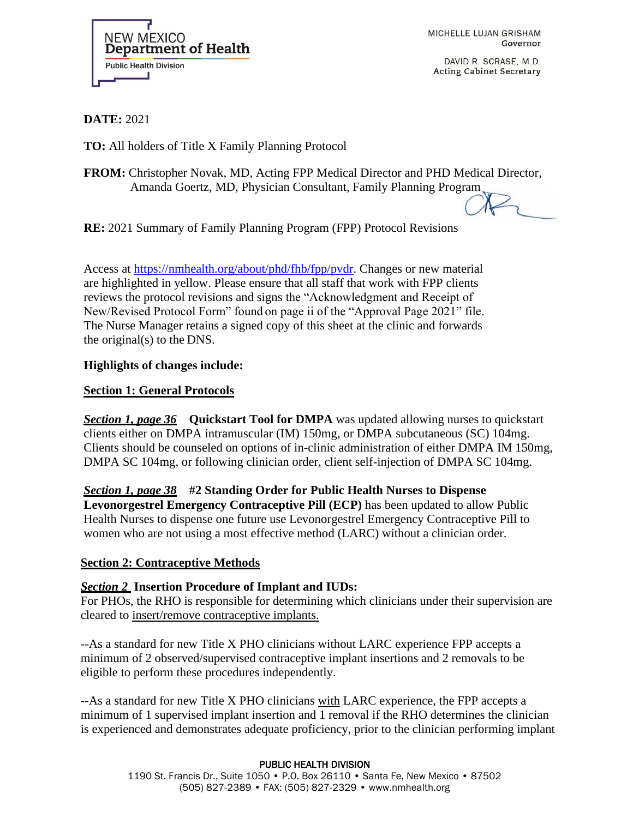

MICHELLE LUJAN GRISHAM Governor

DAVID R. SCRASE, M.D. **Acting Cabinet Secretary** 

**DATE:** 2021

**TO:** All holders of Title X Family Planning Protocol

**FROM:** Christopher Novak, MD, Acting FPP Medical Director and PHD Medical Director, Amanda Goertz, MD, Physician Consultant, Family Planning Program

**RE:** 2021 Summary of Family Planning Program (FPP) Protocol Revisions

Access at [https://nmhealth.org/about/phd/fhb/fpp/pvdr.](https://nmhealth.org/about/phd/fhb/fpp/pvdr) Changes or new material are highlighted in yellow. Please ensure that all staff that work with FPP clients reviews the protocol revisions and signs the "Acknowledgment and Receipt of New/Revised Protocol Form" found on page ii of the "Approval Page 2021" file. The Nurse Manager retains a signed copy of this sheet at the clinic and forwards the original(s) to the DNS.

## **Highlights of changes include:**

## **Section 1: General Protocols**

*Section 1, page 36* **Quickstart Tool for DMPA** was updated allowing nurses to quickstart clients either on DMPA intramuscular (IM) 150mg, or DMPA subcutaneous (SC) 104mg. Clients should be counseled on options of in-clinic administration of either DMPA IM 150mg, DMPA SC 104mg, or following clinician order, client self-injection of DMPA SC 104mg.

*Section 1, page 38* **#2 Standing Order for Public Health Nurses to Dispense Levonorgestrel Emergency Contraceptive Pill (ECP)** has been updated to allow Public Health Nurses to dispense one future use Levonorgestrel Emergency Contraceptive Pill to women who are not using a most effective method (LARC) without a clinician order.

## **Section 2: Contraceptive Methods**

## *Section 2* **Insertion Procedure of Implant and IUDs:**

For PHOs, the RHO is responsible for determining which clinicians under their supervision are cleared to insert/remove contraceptive implants.

--As a standard for new Title X PHO clinicians without LARC experience FPP accepts a minimum of 2 observed/supervised contraceptive implant insertions and 2 removals to be eligible to perform these procedures independently.

--As a standard for new Title X PHO clinicians with LARC experience, the FPP accepts a minimum of 1 supervised implant insertion and 1 removal if the RHO determines the clinician is experienced and demonstrates adequate proficiency, prior to the clinician performing implant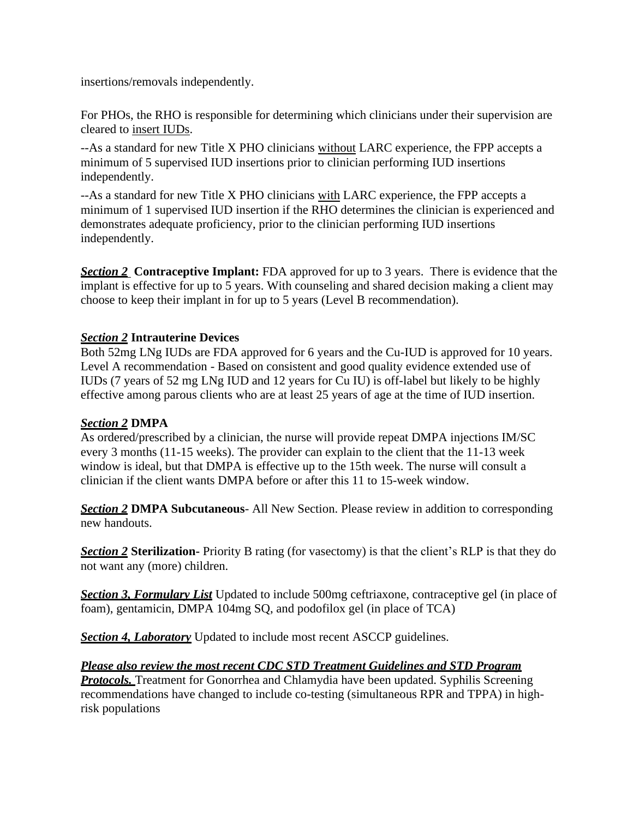insertions/removals independently.

For PHOs, the RHO is responsible for determining which clinicians under their supervision are cleared to insert IUDs.

--As a standard for new Title X PHO clinicians without LARC experience, the FPP accepts a minimum of 5 supervised IUD insertions prior to clinician performing IUD insertions independently.

--As a standard for new Title X PHO clinicians with LARC experience, the FPP accepts a minimum of 1 supervised IUD insertion if the RHO determines the clinician is experienced and demonstrates adequate proficiency, prior to the clinician performing IUD insertions independently.

*Section 2* **Contraceptive Implant:** FDA approved for up to 3 years. There is evidence that the implant is effective for up to 5 years. With counseling and shared decision making a client may choose to keep their implant in for up to 5 years (Level B recommendation).

# *Section 2* **Intrauterine Devices**

Both 52mg LNg IUDs are FDA approved for 6 years and the Cu-IUD is approved for 10 years. Level A recommendation - Based on consistent and good quality evidence extended use of IUDs (7 years of 52 mg LNg IUD and 12 years for Cu IU) is off-label but likely to be highly effective among parous clients who are at least 25 years of age at the time of IUD insertion.

## *Section 2* **DMPA**

As ordered/prescribed by a clinician, the nurse will provide repeat DMPA injections IM/SC every 3 months (11-15 weeks). The provider can explain to the client that the 11-13 week window is ideal, but that DMPA is effective up to the 15th week. The nurse will consult a clinician if the client wants DMPA before or after this 11 to 15-week window.

*Section 2* **DMPA Subcutaneous**- All New Section. Please review in addition to corresponding new handouts.

*Section 2* **Sterilization-** Priority B rating (for vasectomy) is that the client's RLP is that they do not want any (more) children.

*Section 3, Formulary List* Updated to include 500mg ceftriaxone, contraceptive gel (in place of foam), gentamicin, DMPA 104mg SQ, and podofilox gel (in place of TCA)

**Section 4. Laboratory** Updated to include most recent ASCCP guidelines.

## *Please also review the most recent CDC STD Treatment Guidelines and STD Program*

**Protocols.** Treatment for Gonorrhea and Chlamydia have been updated. Syphilis Screening recommendations have changed to include co-testing (simultaneous RPR and TPPA) in highrisk populations